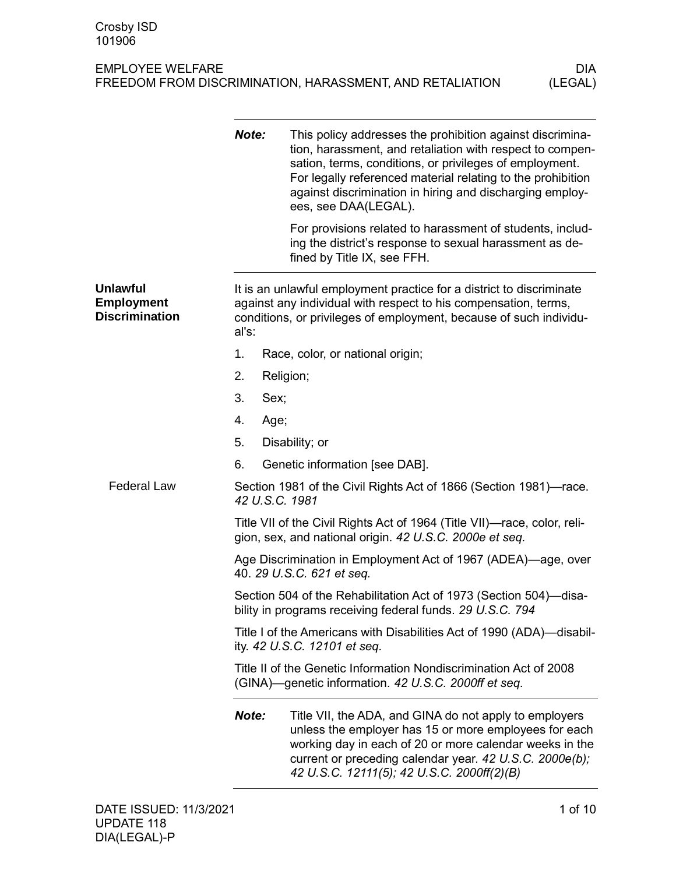|                                                               | Note:                                                                                                                               | This policy addresses the prohibition against discrimina-<br>tion, harassment, and retaliation with respect to compen-<br>sation, terms, conditions, or privileges of employment.<br>For legally referenced material relating to the prohibition<br>against discrimination in hiring and discharging employ-<br>ees, see DAA(LEGAL). |  |
|---------------------------------------------------------------|-------------------------------------------------------------------------------------------------------------------------------------|--------------------------------------------------------------------------------------------------------------------------------------------------------------------------------------------------------------------------------------------------------------------------------------------------------------------------------------|--|
|                                                               |                                                                                                                                     | For provisions related to harassment of students, includ-<br>ing the district's response to sexual harassment as de-<br>fined by Title IX, see FFH.                                                                                                                                                                                  |  |
| <b>Unlawful</b><br><b>Employment</b><br><b>Discrimination</b> | al's:                                                                                                                               | It is an unlawful employment practice for a district to discriminate<br>against any individual with respect to his compensation, terms,<br>conditions, or privileges of employment, because of such individu-                                                                                                                        |  |
|                                                               | 1.                                                                                                                                  | Race, color, or national origin;                                                                                                                                                                                                                                                                                                     |  |
|                                                               | 2.                                                                                                                                  | Religion;                                                                                                                                                                                                                                                                                                                            |  |
|                                                               | 3.<br>Sex;                                                                                                                          |                                                                                                                                                                                                                                                                                                                                      |  |
|                                                               | 4.<br>Age;                                                                                                                          |                                                                                                                                                                                                                                                                                                                                      |  |
|                                                               | 5.                                                                                                                                  | Disability; or                                                                                                                                                                                                                                                                                                                       |  |
|                                                               | 6.                                                                                                                                  | Genetic information [see DAB].                                                                                                                                                                                                                                                                                                       |  |
| <b>Federal Law</b>                                            | 42 U.S.C. 1981                                                                                                                      | Section 1981 of the Civil Rights Act of 1866 (Section 1981)—race.                                                                                                                                                                                                                                                                    |  |
|                                                               | Title VII of the Civil Rights Act of 1964 (Title VII)—race, color, reli-<br>gion, sex, and national origin. 42 U.S.C. 2000e et seq. |                                                                                                                                                                                                                                                                                                                                      |  |
|                                                               | Age Discrimination in Employment Act of 1967 (ADEA)—age, over<br>40. 29 U.S.C. 621 et seq.                                          |                                                                                                                                                                                                                                                                                                                                      |  |
|                                                               | Section 504 of the Rehabilitation Act of 1973 (Section 504)—disa-<br>bility in programs receiving federal funds. 29 U.S.C. 794      |                                                                                                                                                                                                                                                                                                                                      |  |
|                                                               | Title I of the Americans with Disabilities Act of 1990 (ADA)—disabil-<br>ity. 42 U.S.C. 12101 et seq.                               |                                                                                                                                                                                                                                                                                                                                      |  |
|                                                               |                                                                                                                                     | Title II of the Genetic Information Nondiscrimination Act of 2008<br>(GINA)—genetic information. 42 U.S.C. 2000ff et seq.                                                                                                                                                                                                            |  |
|                                                               | Note:                                                                                                                               | Title VII, the ADA, and GINA do not apply to employers<br>unless the employer has 15 or more employees for each<br>working day in each of 20 or more calendar weeks in the<br>current or preceding calendar year. 42 U.S.C. 2000e(b);<br>42 U.S.C. 12111(5); 42 U.S.C. 2000ff(2)(B)                                                  |  |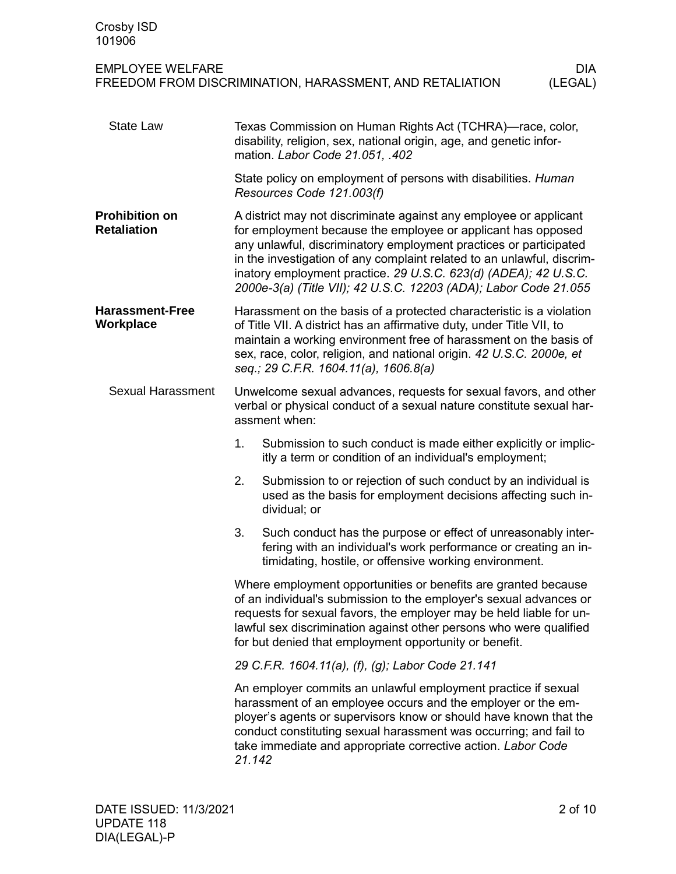| Crosby ISD                                  |                                                                                                                                                                                                                                                                                                                                                                                                                         |                                                                                                                                                                                                                                                                                                                                             |
|---------------------------------------------|-------------------------------------------------------------------------------------------------------------------------------------------------------------------------------------------------------------------------------------------------------------------------------------------------------------------------------------------------------------------------------------------------------------------------|---------------------------------------------------------------------------------------------------------------------------------------------------------------------------------------------------------------------------------------------------------------------------------------------------------------------------------------------|
| 101906                                      |                                                                                                                                                                                                                                                                                                                                                                                                                         |                                                                                                                                                                                                                                                                                                                                             |
| <b>EMPLOYEE WELFARE</b>                     |                                                                                                                                                                                                                                                                                                                                                                                                                         | <b>DIA</b><br>FREEDOM FROM DISCRIMINATION, HARASSMENT, AND RETALIATION<br>(LEGAL)                                                                                                                                                                                                                                                           |
| <b>State Law</b>                            | Texas Commission on Human Rights Act (TCHRA)—race, color,<br>disability, religion, sex, national origin, age, and genetic infor-<br>mation. Labor Code 21.051, .402                                                                                                                                                                                                                                                     |                                                                                                                                                                                                                                                                                                                                             |
|                                             |                                                                                                                                                                                                                                                                                                                                                                                                                         | State policy on employment of persons with disabilities. Human<br>Resources Code 121.003(f)                                                                                                                                                                                                                                                 |
| <b>Prohibition on</b><br><b>Retaliation</b> | A district may not discriminate against any employee or applicant<br>for employment because the employee or applicant has opposed<br>any unlawful, discriminatory employment practices or participated<br>in the investigation of any complaint related to an unlawful, discrim-<br>inatory employment practice. 29 U.S.C. 623(d) (ADEA); 42 U.S.C.<br>2000e-3(a) (Title VII); 42 U.S.C. 12203 (ADA); Labor Code 21.055 |                                                                                                                                                                                                                                                                                                                                             |
| <b>Harassment-Free</b><br>Workplace         | Harassment on the basis of a protected characteristic is a violation<br>of Title VII. A district has an affirmative duty, under Title VII, to<br>maintain a working environment free of harassment on the basis of<br>sex, race, color, religion, and national origin. 42 U.S.C. 2000e, et<br>seq.; 29 C.F.R. 1604.11(a), 1606.8(a)                                                                                     |                                                                                                                                                                                                                                                                                                                                             |
| Sexual Harassment                           | Unwelcome sexual advances, requests for sexual favors, and other<br>verbal or physical conduct of a sexual nature constitute sexual har-<br>assment when:                                                                                                                                                                                                                                                               |                                                                                                                                                                                                                                                                                                                                             |
|                                             | 1.                                                                                                                                                                                                                                                                                                                                                                                                                      | Submission to such conduct is made either explicitly or implic-<br>itly a term or condition of an individual's employment;                                                                                                                                                                                                                  |
|                                             | 2.                                                                                                                                                                                                                                                                                                                                                                                                                      | Submission to or rejection of such conduct by an individual is<br>used as the basis for employment decisions affecting such in-<br>dividual; or                                                                                                                                                                                             |
|                                             | 3.                                                                                                                                                                                                                                                                                                                                                                                                                      | Such conduct has the purpose or effect of unreasonably inter-<br>fering with an individual's work performance or creating an in-<br>timidating, hostile, or offensive working environment.                                                                                                                                                  |
|                                             |                                                                                                                                                                                                                                                                                                                                                                                                                         | Where employment opportunities or benefits are granted because<br>of an individual's submission to the employer's sexual advances or<br>requests for sexual favors, the employer may be held liable for un-<br>lawful sex discrimination against other persons who were qualified<br>for but denied that employment opportunity or benefit. |
|                                             |                                                                                                                                                                                                                                                                                                                                                                                                                         | 29 C.F.R. 1604.11(a), (f), (g); Labor Code 21.141                                                                                                                                                                                                                                                                                           |
|                                             | 21.142                                                                                                                                                                                                                                                                                                                                                                                                                  | An employer commits an unlawful employment practice if sexual<br>harassment of an employee occurs and the employer or the em-<br>ployer's agents or supervisors know or should have known that the<br>conduct constituting sexual harassment was occurring; and fail to<br>take immediate and appropriate corrective action. Labor Code     |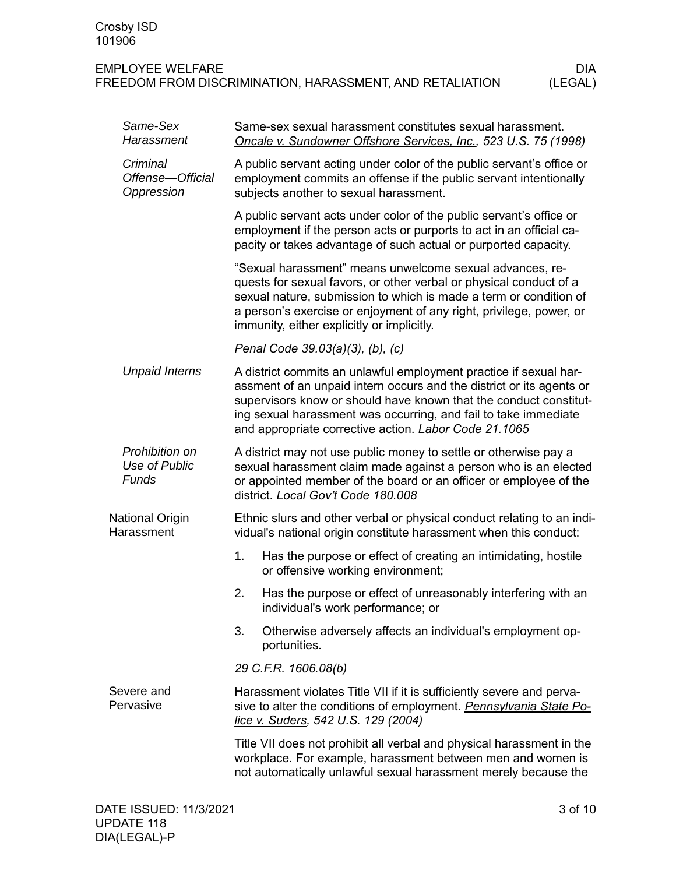| Same-Sex<br>Harassment                     |    | Same-sex sexual harassment constitutes sexual harassment.<br>Oncale v. Sundowner Offshore Services, Inc., 523 U.S. 75 (1998)                                                                                                                                                                                                               |
|--------------------------------------------|----|--------------------------------------------------------------------------------------------------------------------------------------------------------------------------------------------------------------------------------------------------------------------------------------------------------------------------------------------|
| Criminal<br>Offense-Official<br>Oppression |    | A public servant acting under color of the public servant's office or<br>employment commits an offense if the public servant intentionally<br>subjects another to sexual harassment.                                                                                                                                                       |
|                                            |    | A public servant acts under color of the public servant's office or<br>employment if the person acts or purports to act in an official ca-<br>pacity or takes advantage of such actual or purported capacity.                                                                                                                              |
|                                            |    | "Sexual harassment" means unwelcome sexual advances, re-<br>quests for sexual favors, or other verbal or physical conduct of a<br>sexual nature, submission to which is made a term or condition of<br>a person's exercise or enjoyment of any right, privilege, power, or<br>immunity, either explicitly or implicitly.                   |
|                                            |    | Penal Code 39.03(a)(3), (b), (c)                                                                                                                                                                                                                                                                                                           |
| <b>Unpaid Interns</b>                      |    | A district commits an unlawful employment practice if sexual har-<br>assment of an unpaid intern occurs and the district or its agents or<br>supervisors know or should have known that the conduct constitut-<br>ing sexual harassment was occurring, and fail to take immediate<br>and appropriate corrective action. Labor Code 21.1065 |
| Prohibition on<br>Use of Public<br>Funds   |    | A district may not use public money to settle or otherwise pay a<br>sexual harassment claim made against a person who is an elected<br>or appointed member of the board or an officer or employee of the<br>district. Local Gov't Code 180.008                                                                                             |
| National Origin<br>Harassment              |    | Ethnic slurs and other verbal or physical conduct relating to an indi-<br>vidual's national origin constitute harassment when this conduct:                                                                                                                                                                                                |
|                                            | 1. | Has the purpose or effect of creating an intimidating, hostile<br>or offensive working environment;                                                                                                                                                                                                                                        |
|                                            | 2. | Has the purpose or effect of unreasonably interfering with an<br>individual's work performance; or                                                                                                                                                                                                                                         |
|                                            | 3. | Otherwise adversely affects an individual's employment op-<br>portunities.                                                                                                                                                                                                                                                                 |
|                                            |    | 29 C.F.R. 1606.08(b)                                                                                                                                                                                                                                                                                                                       |
| Severe and<br>Pervasive                    |    | Harassment violates Title VII if it is sufficiently severe and perva-<br>sive to alter the conditions of employment. Pennsylvania State Po-<br>lice v. Suders, 542 U.S. 129 (2004)                                                                                                                                                         |
|                                            |    | Title VII does not prohibit all verbal and physical harassment in the<br>workplace. For example, harassment between men and women is<br>not automatically unlawful sexual harassment merely because the                                                                                                                                    |
|                                            |    |                                                                                                                                                                                                                                                                                                                                            |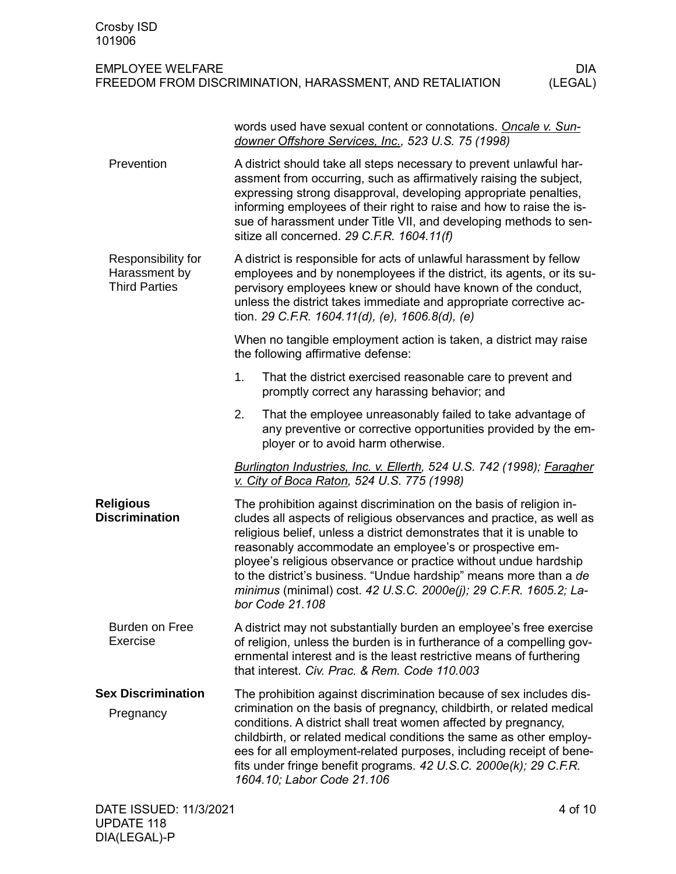| <b>EMPLOYEE WELFARE</b>                                  | DIA     |
|----------------------------------------------------------|---------|
| FREEDOM FROM DISCRIMINATION, HARASSMENT, AND RETALIATION | (LEGAL) |

|                                                             | words used have sexual content or connotations. Oncale v. Sun-<br>downer Offshore Services, Inc., 523 U.S. 75 (1998)                                                                                                                                                                                                                                                                                                                                                                                             |  |
|-------------------------------------------------------------|------------------------------------------------------------------------------------------------------------------------------------------------------------------------------------------------------------------------------------------------------------------------------------------------------------------------------------------------------------------------------------------------------------------------------------------------------------------------------------------------------------------|--|
| Prevention                                                  | A district should take all steps necessary to prevent unlawful har-<br>assment from occurring, such as affirmatively raising the subject,<br>expressing strong disapproval, developing appropriate penalties,<br>informing employees of their right to raise and how to raise the is-<br>sue of harassment under Title VII, and developing methods to sen-<br>sitize all concerned. 29 C.F.R. 1604.11(f)                                                                                                         |  |
| Responsibility for<br>Harassment by<br><b>Third Parties</b> | A district is responsible for acts of unlawful harassment by fellow<br>employees and by nonemployees if the district, its agents, or its su-<br>pervisory employees knew or should have known of the conduct,<br>unless the district takes immediate and appropriate corrective ac-<br>tion. 29 C.F.R. 1604.11(d), (e), 1606.8(d), (e)                                                                                                                                                                           |  |
|                                                             | When no tangible employment action is taken, a district may raise<br>the following affirmative defense:                                                                                                                                                                                                                                                                                                                                                                                                          |  |
|                                                             | 1.<br>That the district exercised reasonable care to prevent and<br>promptly correct any harassing behavior; and                                                                                                                                                                                                                                                                                                                                                                                                 |  |
|                                                             | 2.<br>That the employee unreasonably failed to take advantage of<br>any preventive or corrective opportunities provided by the em-<br>ployer or to avoid harm otherwise.                                                                                                                                                                                                                                                                                                                                         |  |
|                                                             | Burlington Industries, Inc. v. Ellerth, 524 U.S. 742 (1998); Faragher<br>v. City of Boca Raton, 524 U.S. 775 (1998)                                                                                                                                                                                                                                                                                                                                                                                              |  |
| <b>Religious</b><br><b>Discrimination</b>                   | The prohibition against discrimination on the basis of religion in-<br>cludes all aspects of religious observances and practice, as well as<br>religious belief, unless a district demonstrates that it is unable to<br>reasonably accommodate an employee's or prospective em-<br>ployee's religious observance or practice without undue hardship<br>to the district's business. "Undue hardship" means more than a de<br>minimus (minimal) cost. 42 U.S.C. 2000e(j); 29 C.F.R. 1605.2; La-<br>bor Code 21.108 |  |
| Burden on Free<br>Exercise                                  | A district may not substantially burden an employee's free exercise<br>of religion, unless the burden is in furtherance of a compelling gov-<br>ernmental interest and is the least restrictive means of furthering<br>that interest. Civ. Prac. & Rem. Code 110.003                                                                                                                                                                                                                                             |  |
| <b>Sex Discrimination</b><br>Pregnancy                      | The prohibition against discrimination because of sex includes dis-<br>crimination on the basis of pregnancy, childbirth, or related medical<br>conditions. A district shall treat women affected by pregnancy,<br>childbirth, or related medical conditions the same as other employ-<br>ees for all employment-related purposes, including receipt of bene-<br>fits under fringe benefit programs. 42 U.S.C. 2000e(k); 29 C.F.R.<br>1604.10; Labor Code 21.106                                                 |  |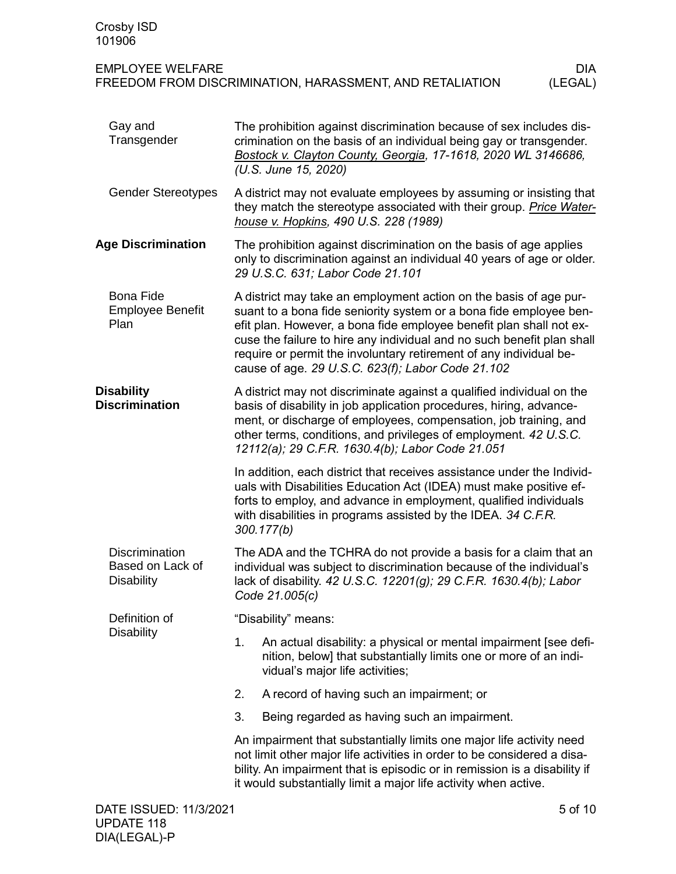| Crosby ISD<br>101906      |                                                                                                                                                                                                                                     |                 |
|---------------------------|-------------------------------------------------------------------------------------------------------------------------------------------------------------------------------------------------------------------------------------|-----------------|
| <b>EMPLOYEE WELFARE</b>   | FREEDOM FROM DISCRIMINATION, HARASSMENT, AND RETALIATION                                                                                                                                                                            | DIA.<br>(LEGAL) |
| Gay and<br>Transgender    | The prohibition against discrimination because of sex includes dis-<br>crimination on the basis of an individual being gay or transgender.<br>Bostock v. Clayton County, Georgia, 17-1618, 2020 WL 3146686,<br>(U.S. June 15, 2020) |                 |
| <b>Gender Stereotypes</b> | A district may not evaluate employees by assuming or insisting that<br>they match the stereotype associated with their group. Price Water-<br>house v. Hopkins, 490 U.S. 228 (1989)                                                 |                 |
| <b>Age Discrimination</b> | The prohibition against discrimination on the basis of age applies<br>only to discrimination against an individual 40 years of age or older.<br>29 U.S.C. 631; Labor Code 21.101                                                    |                 |
| <b>Bona Fide</b>          | A district may take an employment action on the basis of age pur-                                                                                                                                                                   |                 |

suant to a bona fide seniority system or a bona fide employee benefit plan. However, a bona fide employee benefit plan shall not excuse the failure to hire any individual and no such benefit plan shall require or permit the involuntary retirement of any individual because of age. *29 U.S.C. 623(f); Labor Code 21.102* Employee Benefit Plan

A district may not discriminate against a qualified individual on the basis of disability in job application procedures, hiring, advancement, or discharge of employees, compensation, job training, and other terms, conditions, and privileges of employment. *42 U.S.C. 12112(a); 29 C.F.R. 1630.4(b); Labor Code 21.051* **Disability Discrimination**

> In addition, each district that receives assistance under the Individuals with Disabilities Education Act (IDEA) must make positive efforts to employ, and advance in employment, qualified individuals with disabilities in programs assisted by the IDEA. *34 C.F.R. 300.177(b)*

The ADA and the TCHRA do not provide a basis for a claim that an individual was subject to discrimination because of the individual's lack of disability. *42 U.S.C. 12201(g); 29 C.F.R. 1630.4(b); Labor Code 21.005(c)* **Discrimination** Based on Lack of **Disability** 

"Disability" means:

- 1. An actual disability: a physical or mental impairment [see definition, below] that substantially limits one or more of an individual's major life activities;
- 2. A record of having such an impairment; or
- 3. Being regarded as having such an impairment.

An impairment that substantially limits one major life activity need not limit other major life activities in order to be considered a disability. An impairment that is episodic or in remission is a disability if it would substantially limit a major life activity when active.

Definition of **Disability**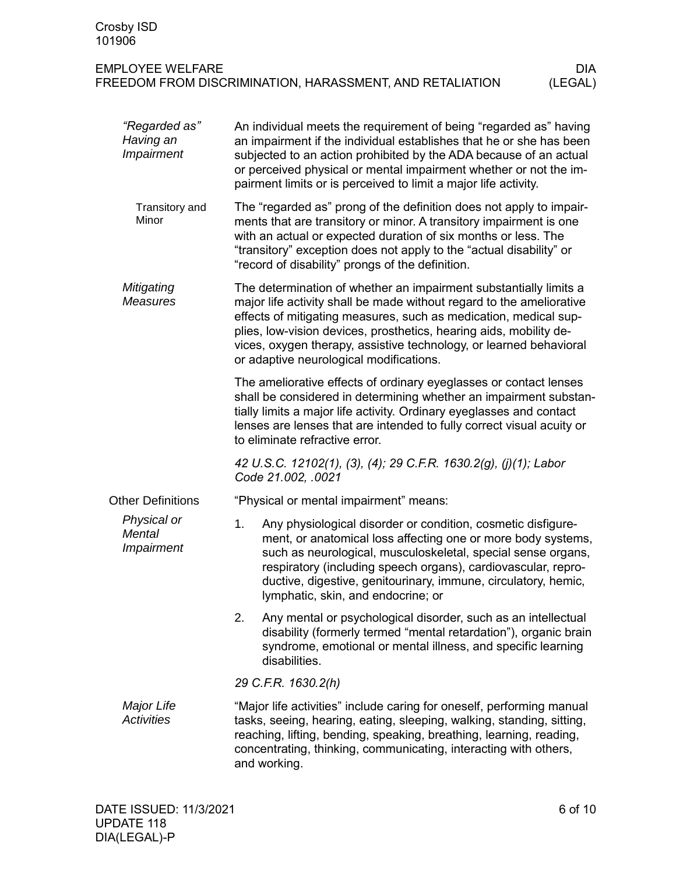| Crosby ISD<br>101906                     |                                                                                                                                                                                                                                                                                                                                                                                                      |  |
|------------------------------------------|------------------------------------------------------------------------------------------------------------------------------------------------------------------------------------------------------------------------------------------------------------------------------------------------------------------------------------------------------------------------------------------------------|--|
| <b>EMPLOYEE WELFARE</b>                  | <b>DIA</b><br>FREEDOM FROM DISCRIMINATION, HARASSMENT, AND RETALIATION<br>(LEGAL)                                                                                                                                                                                                                                                                                                                    |  |
| "Regarded as"<br>Having an<br>Impairment | An individual meets the requirement of being "regarded as" having<br>an impairment if the individual establishes that he or she has been<br>subjected to an action prohibited by the ADA because of an actual<br>or perceived physical or mental impairment whether or not the im-<br>pairment limits or is perceived to limit a major life activity.                                                |  |
| Transitory and<br>Minor                  | The "regarded as" prong of the definition does not apply to impair-<br>ments that are transitory or minor. A transitory impairment is one<br>with an actual or expected duration of six months or less. The<br>"transitory" exception does not apply to the "actual disability" or<br>"record of disability" prongs of the definition.                                                               |  |
| Mitigating<br><b>Measures</b>            | The determination of whether an impairment substantially limits a<br>major life activity shall be made without regard to the ameliorative<br>effects of mitigating measures, such as medication, medical sup-<br>plies, low-vision devices, prosthetics, hearing aids, mobility de-<br>vices, oxygen therapy, assistive technology, or learned behavioral<br>or adaptive neurological modifications. |  |
|                                          | The ameliorative effects of ordinary eyeglasses or contact lenses<br>shall be considered in determining whether an impairment substan-<br>tially limits a major life activity. Ordinary eyeglasses and contact<br>lenses are lenses that are intended to fully correct visual acuity or<br>to eliminate refractive error.                                                                            |  |
|                                          | 42 U.S.C. 12102(1), (3), (4); 29 C.F.R. 1630.2(g), (j)(1); Labor<br>Code 21.002, .0021                                                                                                                                                                                                                                                                                                               |  |
| <b>Other Definitions</b>                 | "Physical or mental impairment" means:                                                                                                                                                                                                                                                                                                                                                               |  |
| Physical or<br>Mental<br>Impairment      | 1.<br>Any physiological disorder or condition, cosmetic disfigure-<br>ment, or anatomical loss affecting one or more body systems,<br>such as neurological, musculoskeletal, special sense organs,<br>respiratory (including speech organs), cardiovascular, repro-<br>ductive, digestive, genitourinary, immune, circulatory, hemic,<br>lymphatic, skin, and endocrine; or                          |  |
|                                          | Any mental or psychological disorder, such as an intellectual<br>2.<br>disability (formerly termed "mental retardation"), organic brain<br>syndrome, emotional or mental illness, and specific learning<br>disabilities.                                                                                                                                                                             |  |

*29 C.F.R. 1630.2(h)*

"Major life activities" include caring for oneself, performing manual tasks, seeing, hearing, eating, sleeping, walking, standing, sitting, reaching, lifting, bending, speaking, breathing, learning, reading, concentrating, thinking, communicating, interacting with others, and working. *Major Life Activities*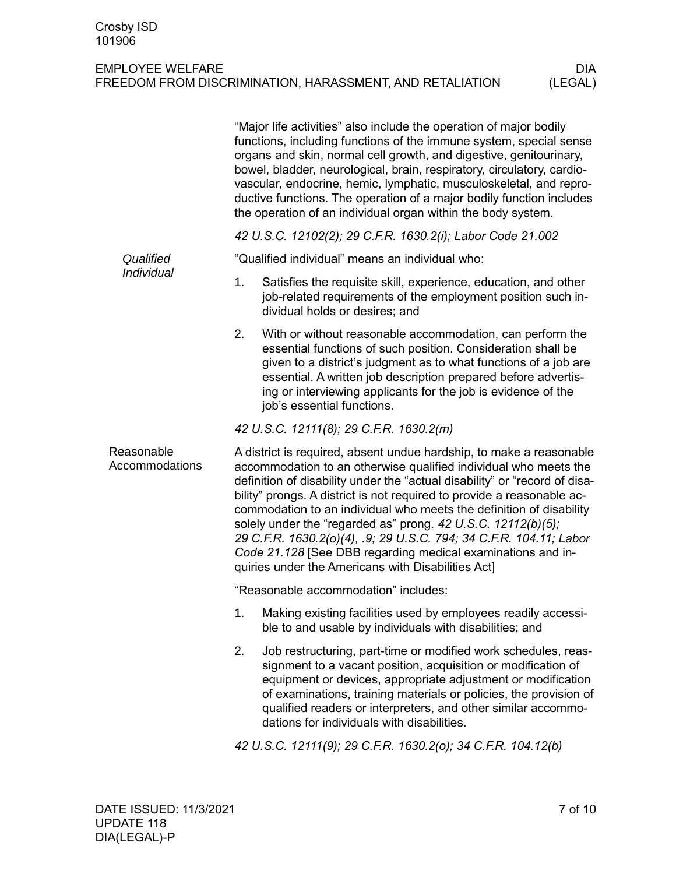|                              | "Major life activities" also include the operation of major bodily<br>functions, including functions of the immune system, special sense<br>organs and skin, normal cell growth, and digestive, genitourinary,<br>bowel, bladder, neurological, brain, respiratory, circulatory, cardio-<br>vascular, endocrine, hemic, lymphatic, musculoskeletal, and repro-<br>ductive functions. The operation of a major bodily function includes<br>the operation of an individual organ within the body system.                                                                                                                            |  |
|------------------------------|-----------------------------------------------------------------------------------------------------------------------------------------------------------------------------------------------------------------------------------------------------------------------------------------------------------------------------------------------------------------------------------------------------------------------------------------------------------------------------------------------------------------------------------------------------------------------------------------------------------------------------------|--|
|                              | 42 U.S.C. 12102(2); 29 C.F.R. 1630.2(i); Labor Code 21.002                                                                                                                                                                                                                                                                                                                                                                                                                                                                                                                                                                        |  |
| Qualified                    | "Qualified individual" means an individual who:                                                                                                                                                                                                                                                                                                                                                                                                                                                                                                                                                                                   |  |
| Individual                   | 1.<br>Satisfies the requisite skill, experience, education, and other<br>job-related requirements of the employment position such in-<br>dividual holds or desires; and                                                                                                                                                                                                                                                                                                                                                                                                                                                           |  |
|                              | 2.<br>With or without reasonable accommodation, can perform the<br>essential functions of such position. Consideration shall be<br>given to a district's judgment as to what functions of a job are<br>essential. A written job description prepared before advertis-<br>ing or interviewing applicants for the job is evidence of the<br>job's essential functions.                                                                                                                                                                                                                                                              |  |
|                              | 42 U.S.C. 12111(8); 29 C.F.R. 1630.2(m)                                                                                                                                                                                                                                                                                                                                                                                                                                                                                                                                                                                           |  |
| Reasonable<br>Accommodations | A district is required, absent undue hardship, to make a reasonable<br>accommodation to an otherwise qualified individual who meets the<br>definition of disability under the "actual disability" or "record of disa-<br>bility" prongs. A district is not required to provide a reasonable ac-<br>commodation to an individual who meets the definition of disability<br>solely under the "regarded as" prong. 42 U.S.C. 12112(b)(5);<br>29 C.F.R. 1630.2(o)(4), .9; 29 U.S.C. 794; 34 C.F.R. 104.11; Labor<br>Code 21.128 [See DBB regarding medical examinations and in-<br>quiries under the Americans with Disabilities Act] |  |
|                              | "Reasonable accommodation" includes:                                                                                                                                                                                                                                                                                                                                                                                                                                                                                                                                                                                              |  |
|                              | Making existing facilities used by employees readily accessi-<br>1.<br>ble to and usable by individuals with disabilities; and                                                                                                                                                                                                                                                                                                                                                                                                                                                                                                    |  |
|                              | 2.<br>Job restructuring, part-time or modified work schedules, reas-<br>signment to a vacant position, acquisition or modification of<br>equipment or devices, appropriate adjustment or modification<br>of examinations, training materials or policies, the provision of<br>qualified readers or interpreters, and other similar accommo-                                                                                                                                                                                                                                                                                       |  |

dations for individuals with disabilities.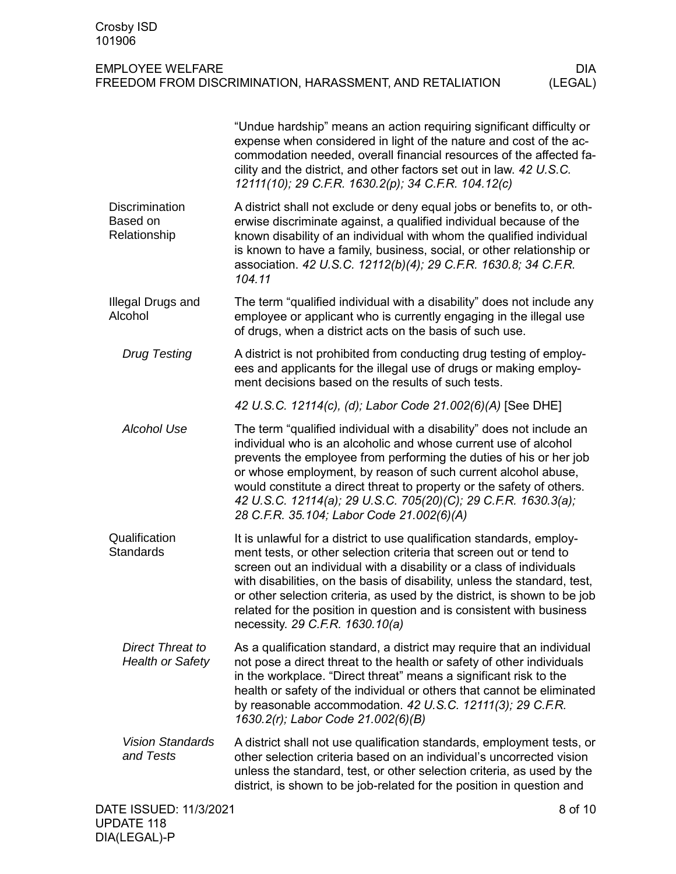## EMPLOYEE WELFARE<br>FREEDOM FROM DISCRIMINATION, HARASSMENT, AND RETALIATION (LEGAL) FREEDOM FROM DISCRIMINATION, HARASSMENT, AND RETALIATION

|                                             | "Undue hardship" means an action requiring significant difficulty or<br>expense when considered in light of the nature and cost of the ac-<br>commodation needed, overall financial resources of the affected fa-<br>cility and the district, and other factors set out in law. 42 U.S.C.<br>12111(10); 29 C.F.R. 1630.2(p); 34 C.F.R. 104.12(c)                                                                                                                                        |
|---------------------------------------------|-----------------------------------------------------------------------------------------------------------------------------------------------------------------------------------------------------------------------------------------------------------------------------------------------------------------------------------------------------------------------------------------------------------------------------------------------------------------------------------------|
| Discrimination<br>Based on<br>Relationship  | A district shall not exclude or deny equal jobs or benefits to, or oth-<br>erwise discriminate against, a qualified individual because of the<br>known disability of an individual with whom the qualified individual<br>is known to have a family, business, social, or other relationship or<br>association. 42 U.S.C. 12112(b)(4); 29 C.F.R. 1630.8; 34 C.F.R.<br>104.11                                                                                                             |
| Illegal Drugs and<br>Alcohol                | The term "qualified individual with a disability" does not include any<br>employee or applicant who is currently engaging in the illegal use<br>of drugs, when a district acts on the basis of such use.                                                                                                                                                                                                                                                                                |
| <b>Drug Testing</b>                         | A district is not prohibited from conducting drug testing of employ-<br>ees and applicants for the illegal use of drugs or making employ-<br>ment decisions based on the results of such tests.                                                                                                                                                                                                                                                                                         |
|                                             | 42 U.S.C. 12114(c), (d); Labor Code 21.002(6)(A) [See DHE]                                                                                                                                                                                                                                                                                                                                                                                                                              |
| <b>Alcohol Use</b>                          | The term "qualified individual with a disability" does not include an<br>individual who is an alcoholic and whose current use of alcohol<br>prevents the employee from performing the duties of his or her job<br>or whose employment, by reason of such current alcohol abuse,<br>would constitute a direct threat to property or the safety of others.<br>42 U.S.C. 12114(a); 29 U.S.C. 705(20)(C); 29 C.F.R. 1630.3(a);<br>28 C.F.R. 35.104; Labor Code 21.002(6)(A)                 |
| Qualification<br><b>Standards</b>           | It is unlawful for a district to use qualification standards, employ-<br>ment tests, or other selection criteria that screen out or tend to<br>screen out an individual with a disability or a class of individuals<br>with disabilities, on the basis of disability, unless the standard, test,<br>or other selection criteria, as used by the district, is shown to be job<br>related for the position in question and is consistent with business<br>necessity. 29 C.F.R. 1630.10(a) |
| Direct Threat to<br><b>Health or Safety</b> | As a qualification standard, a district may require that an individual<br>not pose a direct threat to the health or safety of other individuals<br>in the workplace. "Direct threat" means a significant risk to the<br>health or safety of the individual or others that cannot be eliminated<br>by reasonable accommodation. 42 U.S.C. 12111(3); 29 C.F.R.<br>1630.2(r); Labor Code 21.002(6)(B)                                                                                      |
| <b>Vision Standards</b><br>and Tests        | A district shall not use qualification standards, employment tests, or<br>other selection criteria based on an individual's uncorrected vision<br>unless the standard, test, or other selection criteria, as used by the<br>district, is shown to be job-related for the position in question and                                                                                                                                                                                       |
| DATE ISSUED: 11/3/2021                      | 8 of 10                                                                                                                                                                                                                                                                                                                                                                                                                                                                                 |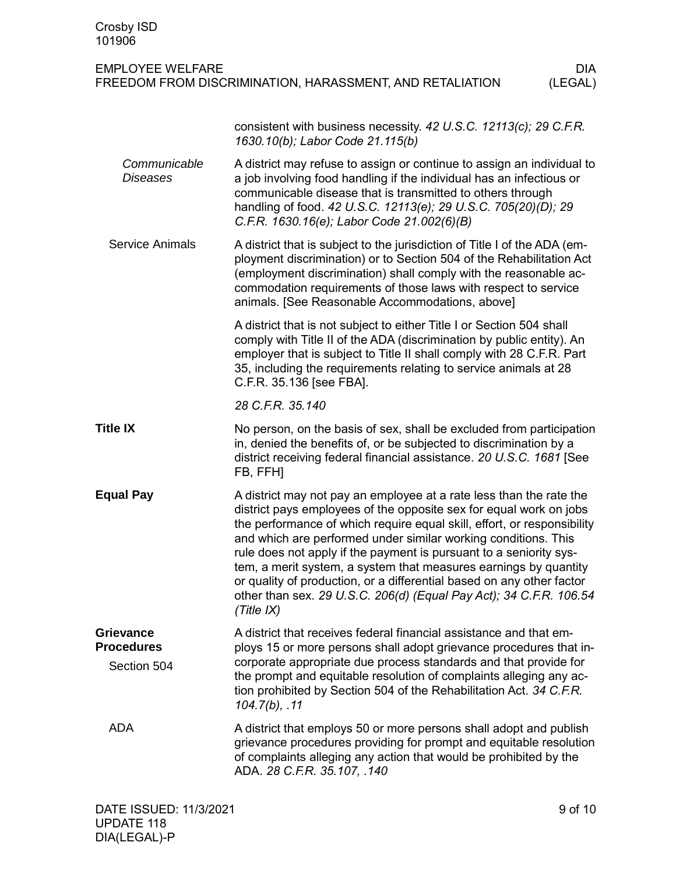| Crosby ISD<br>101906                                                                                         |                                                                                                                                                                                                                                                                                                                                                                                                                                                                                                                                                                                               |  |
|--------------------------------------------------------------------------------------------------------------|-----------------------------------------------------------------------------------------------------------------------------------------------------------------------------------------------------------------------------------------------------------------------------------------------------------------------------------------------------------------------------------------------------------------------------------------------------------------------------------------------------------------------------------------------------------------------------------------------|--|
| <b>EMPLOYEE WELFARE</b><br><b>DIA</b><br>(LEGAL)<br>FREEDOM FROM DISCRIMINATION, HARASSMENT, AND RETALIATION |                                                                                                                                                                                                                                                                                                                                                                                                                                                                                                                                                                                               |  |
|                                                                                                              | consistent with business necessity. 42 U.S.C. 12113(c); 29 C.F.R.<br>1630.10(b); Labor Code 21.115(b)                                                                                                                                                                                                                                                                                                                                                                                                                                                                                         |  |
| Communicable<br><b>Diseases</b>                                                                              | A district may refuse to assign or continue to assign an individual to<br>a job involving food handling if the individual has an infectious or<br>communicable disease that is transmitted to others through<br>handling of food. 42 U.S.C. 12113(e); 29 U.S.C. 705(20)(D); 29<br>C.F.R. 1630.16(e); Labor Code 21.002(6)(B)                                                                                                                                                                                                                                                                  |  |
| <b>Service Animals</b>                                                                                       | A district that is subject to the jurisdiction of Title I of the ADA (em-<br>ployment discrimination) or to Section 504 of the Rehabilitation Act<br>(employment discrimination) shall comply with the reasonable ac-<br>commodation requirements of those laws with respect to service<br>animals. [See Reasonable Accommodations, above]                                                                                                                                                                                                                                                    |  |
|                                                                                                              | A district that is not subject to either Title I or Section 504 shall<br>comply with Title II of the ADA (discrimination by public entity). An<br>employer that is subject to Title II shall comply with 28 C.F.R. Part<br>35, including the requirements relating to service animals at 28<br>C.F.R. 35.136 [see FBA].                                                                                                                                                                                                                                                                       |  |
|                                                                                                              | 28 C.F.R. 35.140                                                                                                                                                                                                                                                                                                                                                                                                                                                                                                                                                                              |  |
| <b>Title IX</b>                                                                                              | No person, on the basis of sex, shall be excluded from participation<br>in, denied the benefits of, or be subjected to discrimination by a<br>district receiving federal financial assistance. 20 U.S.C. 1681 [See<br>FB, FFH]                                                                                                                                                                                                                                                                                                                                                                |  |
| <b>Equal Pay</b>                                                                                             | A district may not pay an employee at a rate less than the rate the<br>district pays employees of the opposite sex for equal work on jobs<br>the performance of which require equal skill, effort, or responsibility<br>and which are performed under similar working conditions. This<br>rule does not apply if the payment is pursuant to a seniority sys-<br>tem, a merit system, a system that measures earnings by quantity<br>or quality of production, or a differential based on any other factor<br>other than sex. 29 U.S.C. 206(d) (Equal Pay Act); 34 C.F.R. 106.54<br>(Title IX) |  |
| <b>Grievance</b><br><b>Procedures</b><br>Section 504                                                         | A district that receives federal financial assistance and that em-<br>ploys 15 or more persons shall adopt grievance procedures that in-<br>corporate appropriate due process standards and that provide for<br>the prompt and equitable resolution of complaints alleging any ac-<br>tion prohibited by Section 504 of the Rehabilitation Act. 34 C.F.R.<br>$104.7(b)$ , .11                                                                                                                                                                                                                 |  |
| <b>ADA</b>                                                                                                   | A district that employs 50 or more persons shall adopt and publish<br>grievance procedures providing for prompt and equitable resolution<br>of complaints alleging any action that would be prohibited by the<br>ADA. 28 C.F.R. 35.107, .140                                                                                                                                                                                                                                                                                                                                                  |  |